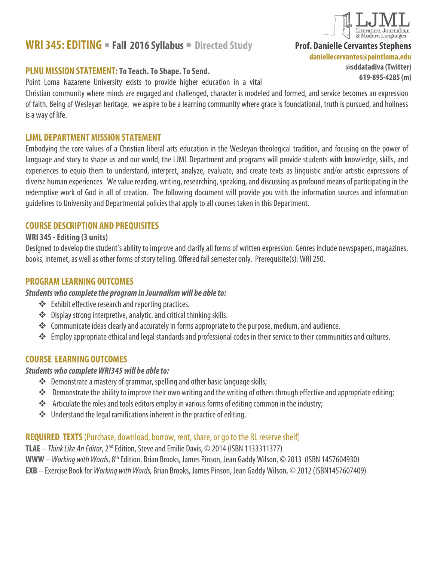# **WRI 345: EDITING • Fall 2016 Syllabus • Directed Study**

### **PLNU MISSION STATEMENT: To Teach. To Shape. To Send.**

Point Loma Nazarene University exists to provide higher education in a vital

Christian community where minds are engaged and challenged, character is modeled and formed, and service becomes an expression of faith. Being of Wesleyan heritage, we aspire to be a learning community where grace is foundational, truth is pursued, and holiness is a way of life.

### **LJML DEPARTMENT MISSION STATEMENT**

Embodying the core values of a Christian liberal arts education in the Wesleyan theological tradition, and focusing on the power of language and story to shape us and our world, the LJML Department and programs will provide students with knowledge, skills, and experiences to equip them to understand, interpret, analyze, evaluate, and create texts as linguistic and/or artistic expressions of diverse human experiences. We value reading, writing, researching, speaking, and discussing as profound means of participating in the redemptive work of God in all of creation. The following document will provide you with the information sources and information guidelines to University and Departmental policies that applyto all courses taken in this Department.

### **COURSE DESCRIPTION AND PREQUISITES**

### **WRI 345 -Editing (3 units)**

Designed to develop the student's ability to improve and clarify all forms of written expression. Genres include newspapers, magazines, books, internet, as well as other forms of story telling. Offered fall semester only. Prerequisite(s): WRI 250.

### **PROGRAM LEARNING OUTCOMES**

#### *Students who complete the program in Journalism will be able to:*

- Exhibit effective research and reporting practices.
- Display strong interpretive, analytic, and critical thinking skills.
- \*\* Communicate ideas clearly and accurately in forms appropriate to the purpose, medium, and audience.
- \* Employ appropriate ethical and legal standards and professional codes in their service to their communities and cultures.

# **COURSE LEARNING OUTCOMES**

### *Students who complete WRI345 will be able to:*

- \* Demonstrate a mastery of grammar, spelling and other basic language skills;
- Demonstrate the ability to improve their own writing and the writing of others through effective and appropriate editing;
- \*\* Articulate the roles and tools editors employ in various forms of editing common in the industry;
- ◆ Understand the legal ramifications inherent in the practice of editing.

### **REQUIRED TEXTS** (Purchase, download, borrow, rent, share, or go to the RL reserve shelf)

**TLAE** – *Think Like An Editor*, 2nd Edition, Steve and Emilie Davis, © 2014(ISBN 1133311377) **WWW**–*Working with Words*, 8th Edition, Brian Brooks, James Pinson, Jean Gaddy Wilson, © 2013 (ISBN 1457604930)

**EXB** – Exercise Book for *Working with Words,* Brian Brooks, James Pinson, Jean Gaddy Wilson, © 2012 (ISBN1457607409)



**Prof. Danielle Cervantes Stephens**

**daniellecervantes@pointloma.edu**

**@sddatadiva (Twitter) 619-895-4285 (m)**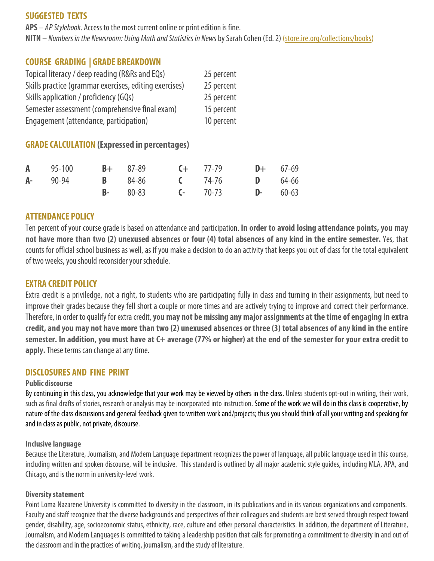### **SUGGESTED TEXTS**

**APS** – *AP Stylebook*. Access to the most current online or print edition is fine.

**NITN** – *Numbers in the Newsroom: Using Math and Statistics in News*by Sarah Cohen (Ed. 2) [\(store.ire.org/collections/books\)](http://store.ire.org/collections/books)

## **COURSE GRADING | GRADE BREAKDOWN**

| Topical literacy / deep reading (R&Rs and EQs)         | 25 percent |
|--------------------------------------------------------|------------|
| Skills practice (grammar exercises, editing exercises) | 25 percent |
| Skills application / proficiency (GQs)                 | 25 percent |
| Semester assessment (comprehensive final exam)         | 15 percent |
| Engagement (attendance, participation)                 | 10 percent |

### **GRADE CALCULATION (Expressed in percentages)**

| <b>A</b> 95-100 <b>B</b> + 87-89 <b>C</b> + 77-79 |  |                                                              | $D+ 67-69$ |  |
|---------------------------------------------------|--|--------------------------------------------------------------|------------|--|
|                                                   |  | <b>A-</b> 90-94 <b>B</b> 84-86 <b>C</b> 74-76 <b>D</b> 64-66 |            |  |
|                                                   |  | <b>B</b> - 80-83 <b>C</b> - 70-73 <b>D</b> - 60-63           |            |  |

### **ATTENDANCE POLICY**

Ten percent of your course grade is based on attendance and participation. **In order to avoid losing attendance points, you may not have more than two (2) unexused absences or four (4) total absences of any kind in the entire semester.** Yes, that counts for official school business as well, as if you make a decision to do an activity that keeps you out of class for the total equivalent of two weeks, you should reconsider your schedule.

### **EXTRA CREDIT POLICY**

Extra credit is a priviledge, not a right, to students who are participating fully in class and turning in their assignments, but need to improve their grades because they fell short a couple or more times and are actively trying to improve and correct their performance. Therefore, in order to qualify for extra credit, **you may not be missing any major assignments at the time of engaging in extra credit, and you may not have more than two (2) unexused absences or three (3) total absences of any kind in the entire semester. In addition, you must have at C+ average (77% or higher) at the end of the semester for your extra credit to apply.**These terms can change at any time.

### **DISCLOSURES AND FINE PRINT**

#### **Public discourse**

By continuing in this class, you acknowledge that your work may be viewed by others in the class. Unless students opt-out in writing, their work, such as final drafts of stories, research or analysis may be incorporated into instruction. Some of the work we will do in this class is cooperative, by nature of the class discussions and general feedback given to written work and/projects; thus you should think of all your writing and speaking for and in class as public, not private, discourse.

#### **Inclusive language**

Because the Literature, Journalism, and Modern Language department recognizes the power of language, all public language usedin this course, including written and spoken discourse, will be inclusive. This standard is outlined by all major academic style guides, including MLA, APA, and Chicago, and is the norm in university-level work.

#### **Diversity statement**

Point Loma Nazarene University is committed to diversity in the classroom, in its publications and in its various organizations and components. Faculty and staff recognize that the diverse backgrounds and perspectives of their colleagues and students are best served through respect toward gender, disability, age, socioeconomic status, ethnicity, race, culture and other personal characteristics. In addition, the department of Literature, Journalism, and Modern Languages is committed to taking a leadership position that calls for promoting a commitment to diversity in and out of the classroom and in the practices of writing, journalism, and the study of literature.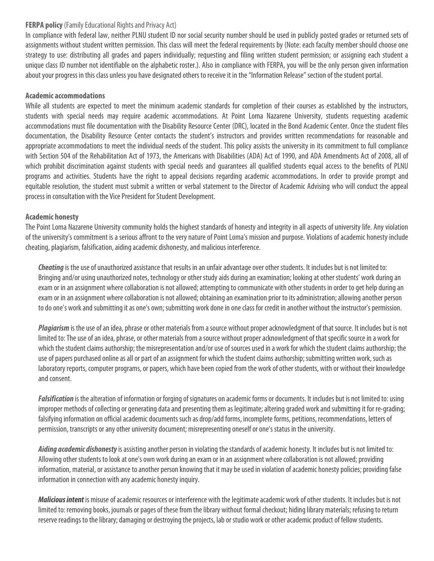#### **FERPA policy** (Family Educational Rights and Privacy Act)

In compliance with federal law, neither PLNU student ID nor social security number should be used in publicly posted grades or returned sets of assignments without student written permission. This class will meet the federal requirements by (Note: each faculty member should choose one strategy to use: distributing all grades and papers individually; requesting and filing written student permission; or assigning each student a unique class ID number not identifiable on the alphabetic roster.). Also in compliance with FERPA, you will be the only person given information about your progress in this class unless you have designated others to receive it in the "Information Release" section of the student portal.

#### **Academic accommodations**

While all students are expected to meet the minimum academic standards for completion of their courses as established by the instructors, students with special needs may require academic accommodations. At Point Loma Nazarene University, students requesting academic accommodations must file documentation with the Disability Resource Center (DRC), located in the Bond Academic Center. Once the student files documentation, the Disability Resource Center contacts the student's instructors and provides written recommendations for reasonable and appropriate accommodations to meet the individual needs of the student. This policy assists the university in its commitment to full compliance with Section 504 of the Rehabilitation Act of 1973, the Americans with Disabilities (ADA) Act of 1990, and ADA Amendments Act of 2008, all of which prohibit discrimination against students with special needs and quarantees all qualified students equal access to the benefits of PLNU programs and activities. Students have the right to appeal decisions regarding academic accommodations. In order to provide prompt and equitable resolution, the student must submit a written or verbal statement to the Director of Academic Advising who will conduct the appeal process in consultation with the Vice President for Student Development.

#### **Academic honesty**

The Point Loma Nazarene University community holds the highest standards of honesty and integrity in all aspects of university life. Any violation of the university's commitment is a serious affront to the very nature of Point Loma's mission and purpose. Violations of academic honesty include cheating, plagiarism, falsification, aiding academic dishonesty, and malicious interference.

*Cheating* is the use of unauthorized assistance that results in an unfair advantage over other students. It includes but is not limited to: Bringing and/or using unauthorized notes, technology or other study aids during an examination; looking at other students' work during an exam or in an assignment where collaboration is not allowed; attempting to communicate with other students in order to get help during an exam or in an assignment where collaboration is not allowed; obtaining an examination prior to its administration; allowing another person to do one's work and submitting it as one's own; submitting work done in one class for credit in another without the instructor's permission.

*Plagiarism*is the use of an idea, phrase or other materials from a source without proper acknowledgment of that source. It includes but is not limited to: The use of an idea, phrase, or other materials from a source without proper acknowledgment of that specific source in a work for which the student claims authorship; the misrepresentation and/or use of sources used in a work for which the student claims authorship; the use of papers purchased online as all or part of an assignment for which the student claims authorship; submitting written work, such as laboratory reports, computer programs, or papers, which have been copied from the work of other students, with or without their knowledge and consent.

*Falsification* is the alteration of information or forging of signatures on academic forms or documents. It includes but is not limited to: using improper methods of collecting or generating data and presenting them as legitimate; altering graded work and submitting it for re-grading; falsifying information on official academic documents such as drop/add forms, incomplete forms, petitions, recommendations, letters of permission, transcripts or any other university document; misrepresenting oneself or one's status in the university.

*Aiding academic dishonesty*is assisting another person in violating the standards of academic honesty. It includes but is not limited to: Allowing other students to look at one's own work during an exam or in an assignment where collaboration is not allowed; providing information, material, or assistance to another person knowing that it may be used in violation of academic honesty policies; providing false information in connection with any academic honesty inquiry.

*Malicious intent* is misuse of academic resources or interference with the legitimate academic work of other students. It includes but is not limited to: removing books, journals or pages of these from the library without formal checkout; hiding library materials; refusing to return reserve readings to the library; damaging or destroying the projects, lab or studio work or other academic product of fellow students.